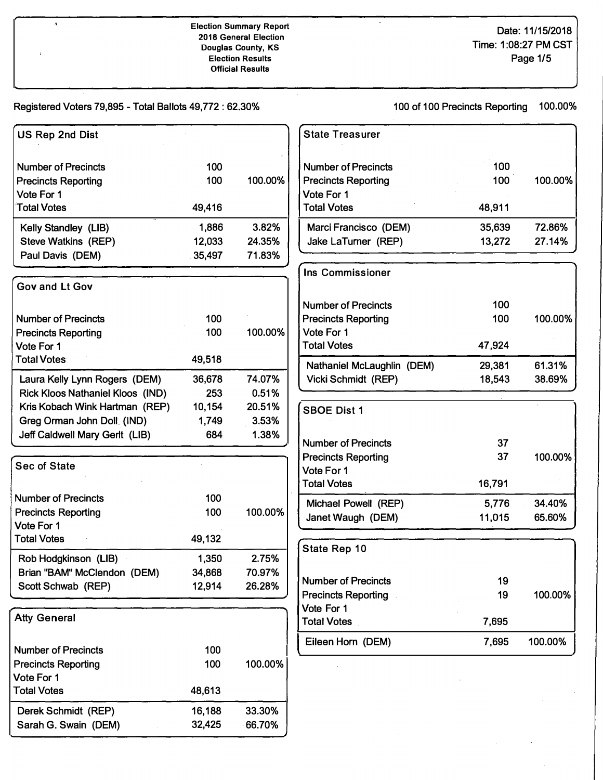## **Election Summary Report Date:** 11/15/2018 **2018 General Election Election Results Official Results**

**Douglas Conci**<br> **Page 1/5** 

## **Registered Voters** 79,895 - **Total Ballots** 49,772: 62.30% 100 **of** 100 **Precincts Reporting** 100.00%

 $\pmb{\Lambda}$ 

 $\overline{1}$ 

| US Rep 2nd Dist                                              |                 |                | <b>State Treasurer</b>                   |        |         |
|--------------------------------------------------------------|-----------------|----------------|------------------------------------------|--------|---------|
| <b>Number of Precincts</b>                                   | 100             |                | <b>Number of Precincts</b>               | 100    |         |
| <b>Precincts Reporting</b>                                   | 100             | 100.00%        | <b>Precincts Reporting</b>               | 100    | 100.00% |
| Vote For 1                                                   |                 |                | Vote For 1                               |        |         |
| <b>Total Votes</b>                                           | 49,416          |                | <b>Total Votes</b>                       | 48,911 |         |
| Kelly Standley (LIB)                                         | 1,886           | 3.82%          | Marci Francisco (DEM)                    | 35,639 | 72.86%  |
| <b>Steve Watkins (REP)</b>                                   | 12,033          | 24.35%         | Jake LaTurner (REP)                      | 13,272 | 27.14%  |
| Paul Davis (DEM)                                             | 35,497          | 71.83%         |                                          |        |         |
| Gov and Lt Gov                                               |                 |                | <b>Ins Commissioner</b>                  |        |         |
|                                                              |                 |                |                                          |        |         |
|                                                              |                 |                | <b>Number of Precincts</b>               | 100    |         |
| <b>Number of Precincts</b>                                   | 100             | 100.00%        | <b>Precincts Reporting</b><br>Vote For 1 | 100    | 100.00% |
| <b>Precincts Reporting</b><br>Vote For 1                     | 100             |                | <b>Total Votes</b>                       | 47,924 |         |
| <b>Total Votes</b>                                           | 49,518          |                |                                          |        |         |
|                                                              |                 |                | Nathaniel McLaughlin (DEM)               | 29,381 | 61.31%  |
| Laura Kelly Lynn Rogers (DEM)                                | 36,678          | 74.07%         | Vicki Schmidt (REP)                      | 18,543 | 38.69%  |
| <b>Rick Kloos Nathaniel Kloos (IND)</b>                      | 253             | 0.51%          |                                          |        |         |
| Kris Kobach Wink Hartman (REP)                               | 10,154<br>1,749 | 20.51%         | <b>SBOE Dist 1</b>                       |        |         |
| Greg Orman John Doll (IND)<br>Jeff Caldwell Mary Gerlt (LIB) | 684             | 3.53%<br>1.38% |                                          |        |         |
|                                                              |                 |                | <b>Number of Precincts</b>               | 37     |         |
| <b>Sec of State</b>                                          |                 |                | <b>Precincts Reporting</b>               | 37     | 100.00% |
|                                                              |                 |                | Vote For 1                               |        |         |
|                                                              |                 |                | <b>Total Votes</b>                       | 16,791 |         |
| <b>Number of Precincts</b>                                   | 100             |                | Michael Powell (REP)                     | 5,776  | 34.40%  |
| <b>Precincts Reporting</b>                                   | 100             | 100.00%        | Janet Waugh (DEM)                        | 11,015 | 65.60%  |
| Vote For 1<br><b>Total Votes</b>                             | 49,132          |                |                                          |        |         |
|                                                              |                 |                | State Rep 10                             |        |         |
| Rob Hodgkinson (LIB)                                         | 1,350           | 2.75%          |                                          |        |         |
| Brian "BAM" McClendon (DEM)                                  | 34,868          | 70.97%         | <b>Number of Precincts</b>               | 19     |         |
| Scott Schwab (REP)                                           | 12,914          | 26.28%         | <b>Precincts Reporting</b>               | 19     | 100.00% |
|                                                              |                 |                | Vote For 1                               |        |         |
| <b>Atty General</b>                                          |                 |                | <b>Total Votes</b>                       | 7,695  |         |
|                                                              |                 |                | Eileen Horn (DEM)                        | 7,695  | 100.00% |
| <b>Number of Precincts</b>                                   | 100             |                |                                          |        |         |
| <b>Precincts Reporting</b>                                   | 100             | 100.00%        |                                          |        |         |
| Vote For 1                                                   |                 |                |                                          |        |         |
| <b>Total Votes</b>                                           | 48,613          |                |                                          |        |         |
| Derek Schmidt (REP)                                          | 16,188          | 33.30%         |                                          |        |         |
| Sarah G. Swain (DEM)                                         | 32,425          | 66.70%         |                                          |        |         |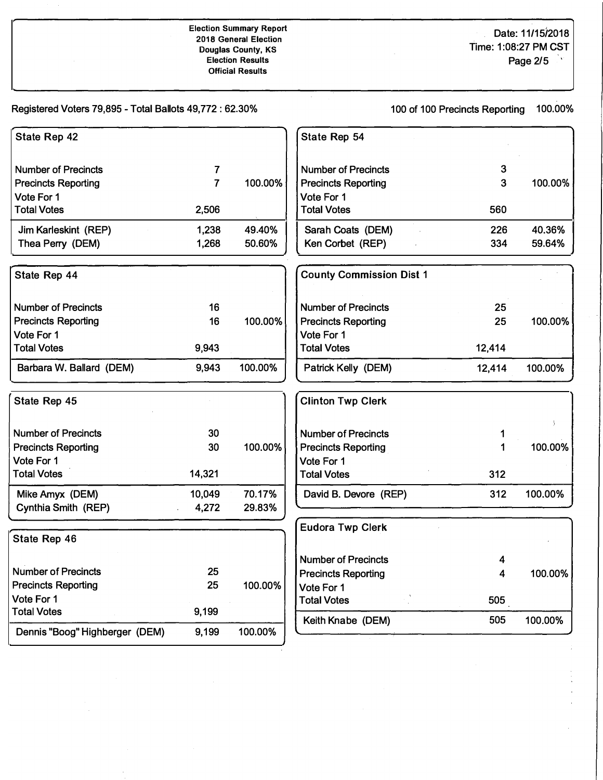**Election Summary Report 2018 General Election Douglas County, KS Election Results Official Results** 

Date: 11/15/2018 Time: 1 :08:27 PM CST Page 2/5

> Ĭ,  $\ddot{\phantom{a}}$

Registered Voters 79,895 - Total Ballots 49,772: 62.30%

100 of 100 Precincts Reporting 100.00%

| State Rep 42                   |                |         | State Rep 54                    |        |         |
|--------------------------------|----------------|---------|---------------------------------|--------|---------|
|                                |                |         |                                 |        |         |
| <b>Number of Precincts</b>     | 7              |         | <b>Number of Precincts</b>      | 3      |         |
| <b>Precincts Reporting</b>     | $\overline{7}$ | 100.00% | <b>Precincts Reporting</b>      | 3      | 100.00% |
| Vote For 1                     |                |         | Vote For 1                      |        |         |
| <b>Total Votes</b>             | 2,506          |         | <b>Total Votes</b>              | 560    |         |
| Jim Karleskint (REP)           | 1,238          | 49.40%  | Sarah Coats (DEM)               | 226    | 40.36%  |
| Thea Perry (DEM)               | 1,268          | 50.60%  | Ken Corbet (REP)                | 334    | 59.64%  |
| State Rep 44                   |                |         | <b>County Commission Dist 1</b> |        |         |
| <b>Number of Precincts</b>     | 16             |         | <b>Number of Precincts</b>      | 25     |         |
| <b>Precincts Reporting</b>     | 16             | 100.00% | <b>Precincts Reporting</b>      | 25     | 100.00% |
| Vote For 1                     |                |         | Vote For 1                      |        |         |
| <b>Total Votes</b>             | 9,943          |         | <b>Total Votes</b>              | 12,414 |         |
| Barbara W. Ballard (DEM)       | 9,943          | 100.00% | Patrick Kelly (DEM)             | 12,414 | 100.00% |
| State Rep 45                   |                |         | <b>Clinton Twp Clerk</b>        |        |         |
| <b>Number of Precincts</b>     | 30             |         | <b>Number of Precincts</b>      | 1      |         |
| <b>Precincts Reporting</b>     | 30             | 100.00% | <b>Precincts Reporting</b>      | 1      | 100.00% |
| Vote For 1                     |                |         | Vote For 1                      |        |         |
| <b>Total Votes</b>             | 14,321         |         | <b>Total Votes</b>              | 312    |         |
| Mike Amyx (DEM)                | 10,049         | 70.17%  | David B. Devore (REP)           | 312    | 100.00% |
| Cynthia Smith (REP)            | 4,272          | 29.83%  |                                 |        |         |
|                                |                |         | <b>Eudora Twp Clerk</b>         |        |         |
| State Rep 46                   |                |         |                                 |        |         |
|                                |                |         | <b>Number of Precincts</b>      | 4      |         |
| <b>Number of Precincts</b>     | 25             |         | <b>Precincts Reporting</b>      | 4      | 100.00% |
| <b>Precincts Reporting</b>     | 25             | 100.00% | Vote For 1                      |        |         |
| Vote For 1                     |                |         | <b>Total Votes</b>              | 505    |         |
| <b>Total Votes</b>             | 9,199          |         | Keith Knabe (DEM)               | 505    | 100.00% |
| Dennis "Boog" Highberger (DEM) | 9,199          | 100.00% |                                 |        |         |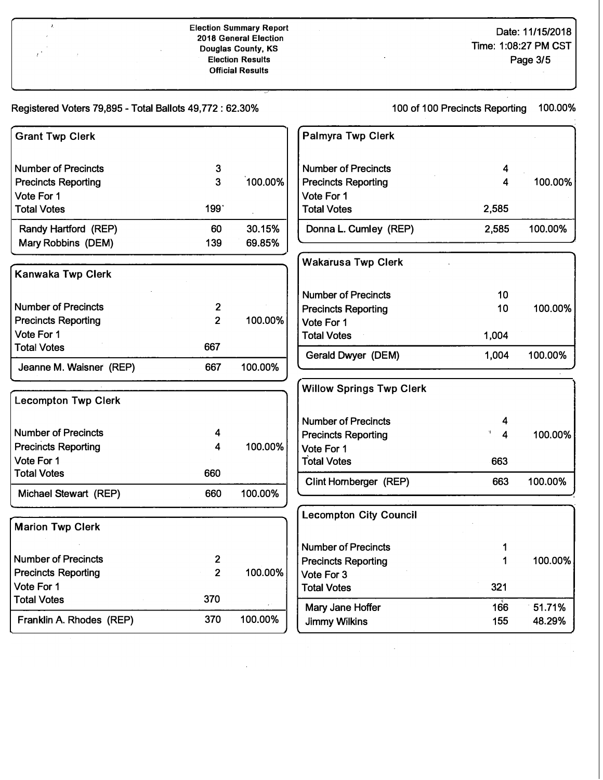**Date: 11/15/2018 Time: 1 :08:27 PM CST Page 3/5** 

**Registered Voters 79,895 - Total Ballots 49,772 : 62.30%** 

**100 of 100 Precincts Reporting 100.00%** 

| <b>Grant Twp Clerk</b>     |                         |         | <b>Palmyra Twp Clerk</b>        |         |         |
|----------------------------|-------------------------|---------|---------------------------------|---------|---------|
| <b>Number of Precincts</b> | 3                       |         | <b>Number of Precincts</b>      | 4       |         |
| <b>Precincts Reporting</b> | $\overline{3}$          | 100.00% | <b>Precincts Reporting</b>      | 4       | 100.00% |
| Vote For 1                 |                         |         | Vote For 1                      |         |         |
| <b>Total Votes</b>         | 199                     |         | <b>Total Votes</b>              | 2,585   |         |
| Randy Hartford (REP)       | 60                      | 30.15%  | Donna L. Cumley (REP)           | 2,585   | 100.00% |
| Mary Robbins (DEM)         | 139                     | 69.85%  |                                 |         |         |
| <b>Kanwaka Twp Clerk</b>   |                         |         | <b>Wakarusa Twp Clerk</b>       |         |         |
|                            |                         |         | <b>Number of Precincts</b>      | 10      |         |
| <b>Number of Precincts</b> | $\overline{2}$          |         | <b>Precincts Reporting</b>      | 10      | 100.00% |
| <b>Precincts Reporting</b> | $\overline{2}$          | 100.00% | Vote For 1                      |         |         |
| Vote For 1                 |                         |         | <b>Total Votes</b>              | 1,004   |         |
| <b>Total Votes</b>         | 667                     |         | Gerald Dwyer (DEM)              | 1,004   | 100.00% |
| Jeanne M. Waisner (REP)    | 667                     | 100.00% |                                 |         |         |
| <b>Lecompton Twp Clerk</b> |                         |         | <b>Willow Springs Twp Clerk</b> |         |         |
|                            |                         |         | <b>Number of Precincts</b>      | 4       |         |
| <b>Number of Precincts</b> | 4                       |         | <b>Precincts Reporting</b>      | H.<br>4 | 100.00% |
| <b>Precincts Reporting</b> | 4                       | 100.00% | Vote For 1                      |         |         |
| Vote For 1                 |                         |         | <b>Total Votes</b>              | 663     |         |
| <b>Total Votes</b>         | 660                     |         | Clint Hornberger (REP)          | 663     | 100.00% |
| Michael Stewart (REP)      | 660                     | 100.00% |                                 |         |         |
|                            |                         |         | <b>Lecompton City Council</b>   |         |         |
| <b>Marion Twp Clerk</b>    |                         |         |                                 |         |         |
|                            |                         |         | <b>Number of Precincts</b>      | 1       |         |
| <b>Number of Precincts</b> | $\overline{\mathbf{2}}$ |         | <b>Precincts Reporting</b>      | 1       | 100.00% |
| <b>Precincts Reporting</b> | $\overline{2}$          | 100.00% | Vote For 3                      |         |         |
| Vote For 1                 |                         |         | <b>Total Votes</b>              | 321     |         |
| <b>Total Votes</b>         | 370                     |         | Mary Jane Hoffer                | 166     | 51.71%  |
| Franklin A. Rhodes (REP)   | 370                     | 100.00% | <b>Jimmy Wilkins</b>            | 155     | 48.29%  |

 $\ddot{\phantom{a}}$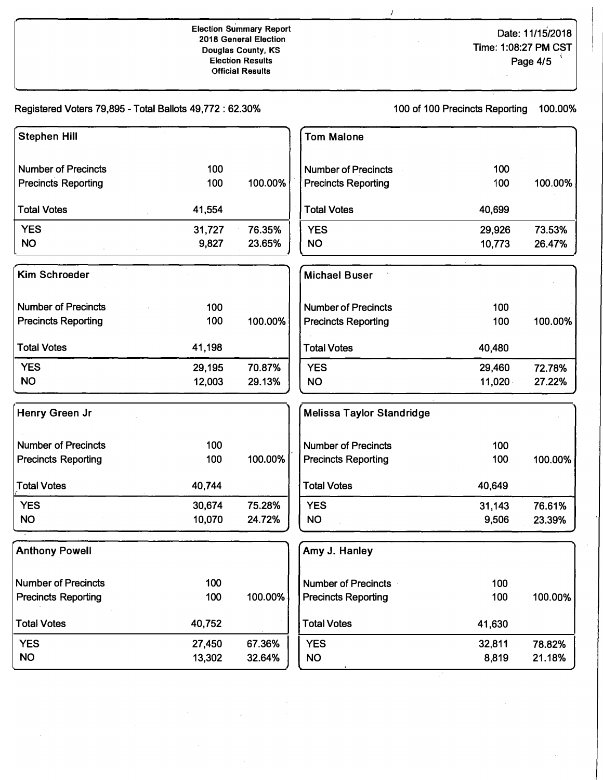## **Election su'mmary Report 2018 General Election Douglas County, KS Election Results Official Results**

**Date: 11/15/2018 Time: 1 :08:27 PM CST Page 4/5** 

**Registered Voters 79,895 - Total Ballots 49,772: 62.30%** 

**100 of 100 Precincts Reporting 100.00%** 

 $\lambda$ 

| <b>Stephen Hill</b>        |        |         | <b>Tom Malone</b>                |        |         |
|----------------------------|--------|---------|----------------------------------|--------|---------|
| <b>Number of Precincts</b> | 100    |         | <b>Number of Precincts</b>       | 100    |         |
| <b>Precincts Reporting</b> | 100    | 100.00% | <b>Precincts Reporting</b>       | 100    | 100.00% |
| <b>Total Votes</b>         | 41,554 |         | <b>Total Votes</b>               | 40,699 |         |
| <b>YES</b>                 | 31,727 | 76.35%  | <b>YES</b>                       | 29,926 | 73.53%  |
| <b>NO</b>                  | 9,827  | 23.65%  | <b>NO</b>                        | 10,773 | 26.47%  |
| <b>Kim Schroeder</b>       |        |         | <b>Michael Buser</b>             |        |         |
| <b>Number of Precincts</b> | 100    |         | <b>Number of Precincts</b>       | 100    |         |
| <b>Precincts Reporting</b> | 100    | 100.00% | <b>Precincts Reporting</b>       | 100    | 100.00% |
| <b>Total Votes</b>         | 41,198 |         | <b>Total Votes</b>               | 40,480 |         |
| <b>YES</b>                 | 29,195 | 70.87%  | <b>YES</b>                       | 29,460 | 72.78%  |
| <b>NO</b>                  | 12,003 | 29.13%  | <b>NO</b>                        | 11,020 | 27.22%  |
| Henry Green Jr             |        |         | <b>Melissa Taylor Standridge</b> |        |         |
| <b>Number of Precincts</b> | 100    |         | <b>Number of Precincts</b>       | 100    |         |
| <b>Precincts Reporting</b> | 100    | 100.00% | <b>Precincts Reporting</b>       | 100    | 100.00% |
| <b>Total Votes</b>         | 40,744 |         | <b>Total Votes</b>               | 40,649 |         |
| <b>YES</b>                 | 30,674 | 75.28%  | <b>YES</b>                       | 31,143 | 76.61%  |
| <b>NO</b>                  | 10,070 | 24.72%  | <b>NO</b>                        | 9,506  | 23.39%  |
| <b>Anthony Powell</b>      |        |         | Amy J. Hanley                    |        |         |
| <b>Number of Precincts</b> | 100    |         | <b>Number of Precincts</b>       | 100    |         |
| <b>Precincts Reporting</b> | 100    | 100.00% | <b>Precincts Reporting</b>       | 100    | 100.00% |
| <b>Total Votes</b>         | 40,752 |         | <b>Total Votes</b>               | 41,630 |         |
| <b>YES</b>                 | 27,450 | 67.36%  | <b>YES</b>                       | 32,811 | 78.82%  |
| <b>NO</b>                  | 13,302 | 32.64%  | <b>NO</b>                        | 8,819  | 21.18%  |